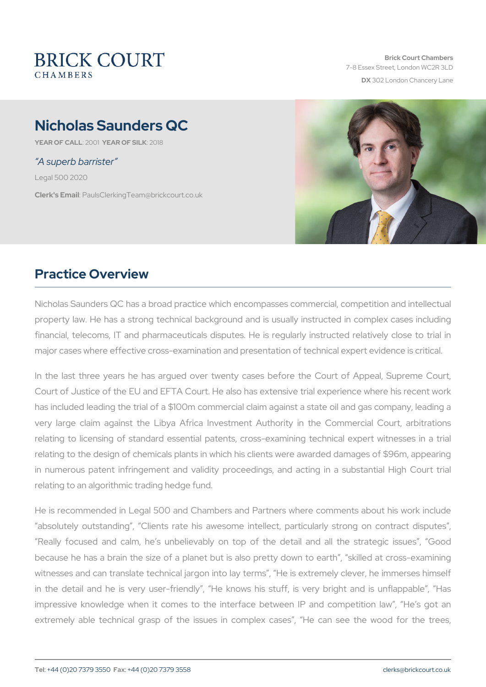Brick Court Chambers 7-8 Essex Street, London WC2 DX 302 London Chancery La

# Nicholas Saunders QC

YEAR OF CALLOMEAR OF SILOK 8

#### A superb barrister

Legal 500 2020

Clerk's EmaulsClerkingTeam@brickcourt.co.uk

## Practice Overview

Nicholas Saunders QC has a broad practice which encompasses comm property law. He has a strong technical background and is usually financial, telecoms, IT and pharmaceuticals disputes. He is regular major cases where effective cross-examination and presentation of ted

In the last three years he has argued over twenty cases before the Court of Justice of the EU and EFTA Court. He also has extensive tri has included leading the trial of a \$100m commercial claim against a very large claim against the Libya Africa Investment Authority in relating to licensing of standard essential patents, cross-examining relating to the design of chemicals plants in which his clients were a in numerous patent infringement and validity proceedings, and act relating to an algorithmic trading hedge fund.

He is recommended in Legal 500 and Chambers and Partners where absolutely outstanding, Clients rate his awesome intellect, part Really focused and calm, he s unbelievably on top of the detail because he has a brain the size of a planet but is also pretty down witnesses and can translate technical jargon into lay terms, He is in the detail and he is very user-friendly, He knows his stuff, impressive knowledge when it comes to the interface between IP extremely able technical grasp of the issues in complex cases,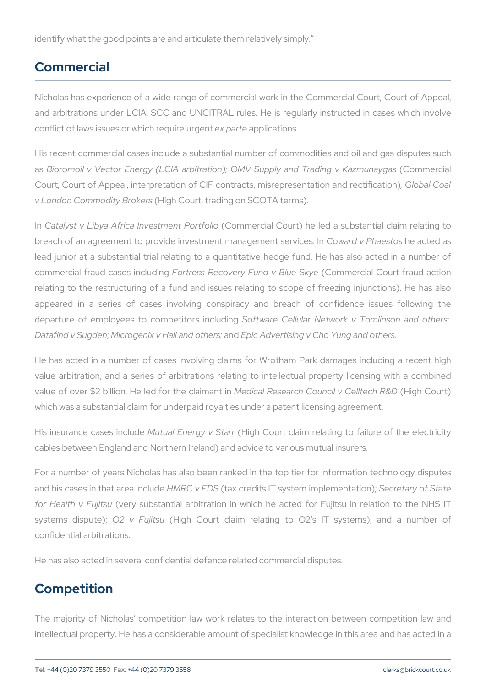identify what the good points are and articulate them relatively simply.

#### Commercial

Nicholas has experience of a wide range of commercial work in the and arbitrations under LCIA, SCC and UNCITRAL rules. He is regularly conflict of laws issues or when an apply and recarrigents.

His recent commercial cases include a substantial number of commod as Bioromoil v Vector Energy (LCIA arbitration); OMV SupphymaemolialTr Court, Court of Appeal, interpretation of CIF contracts, me GsIncebparle sCeonat v London Commodit(yHi BgrhokCearst, trading on SCOTA terms).

In Catalyst v Libya Africa Invecsion menter of articoliort) he led a substantia breach of an agreement to provide investmentComwaarradgemPehmenteessekortseideass lead junior at a substantial trial relating to a quantitative hedge for commercial fraud cas Feositing cas Recovery Fund C on Both weed Saky & ourt fraud relating to the restructuring of a fund and issues relating to scope appeared in a series of cases involving conspiracy and breach departure of employees to comspoefitiware including Network v Tomlins Datafind v SMigodrom enix v Hall anno Epoith Adsvertising v Cho Yung and other

He has acted in a number of cases involving claims for Wrotham P value arbitration, and a series of arbitrations relating to intellectu value of over \$2 billion. He leMd efobircathe Restaeianment Cionuncil (MigChel Ctee unt) F which was a substantial claim for underpaid royalties under a patent I

His insurance cas Newstuinal Endergy (Hvig Shta Court claim relating to failure cables between England and Northern Ireland) and advice to various m

For a number of years Nicholas has also been ranked in the top tier and his cases in that HolmPeCa vnettheusof ecredits IT system im Spelemeetatatioofn\$; ta for Health v (Weity substantial arbitration in which he acted for Fu systems dis $\bigcirc$  Detevential function and the claim relating to O2 s IT systems confidential arbitrations.

He has also acted in several confidential defence related commercial

### Competition

The majority of Nicholas competition law work relates to the inter intellectual property. He has a considerable amount of specialist know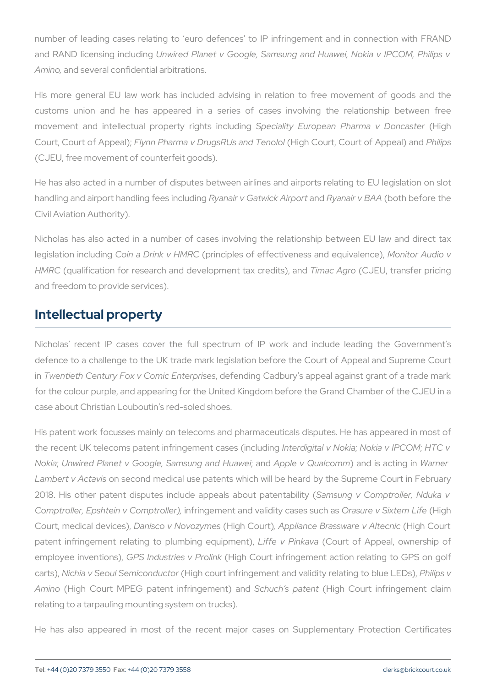number of leading cases relating to euro defences to IP infringe and RAND licensing nimiorleudding ganet v Google, SamNsoukning and PCHOM w en Phi Aminand several confidential arbitrations.

His more general EU law work has included advising in relation customs union and he has appeared in a series of cases inve movement and intellectual propeStpyecried httys Enuorbupdeinang Pharmihaligh Donc Court, Court of FAIppealPharma v DrugsRUs and Goentol Court of Pangibiosal) (CJEU, free movement of counterfeit goods).

He has also acted in a number of disputes between airlines and airports relation handling and airport handli**rg** afreseis in Gatwing the Gay appear ty beso the the Civil Aviation Authority).

Nicholas has also acted in a number of cases involving the relationship legislation inCcd undiang Drink (vprhint/cRpCles of effectiveness and rootine quantience), and the c HMRC qualification for research and development  $A$ and  $A$ and  $C$ u, ditrsa)n staend pri and freedom to provide services).

#### Intellectual property

Nicholas recent IP cases cover the full spectrum of IP work a defence to a challenge to the UK trade mark legislation before the C in Twentieth Century Fox v Condiecte Ennotion con Cands ury s appeal against grant of a trade mark of a trade ma for the colour purple, and appearing for the United Kingdom before th case about Christian Louboutin s red-soled shoes.

His patent work focusses mainly on telecoms and pharmaceuticals di the recent UK telecoms patent infringement ingital igensed stand interactional v Nokika nwired Planet v Google, SamsannAndpopkaend HQuuaa) wioazommdmis ad Wianngneim Lambert v Accrtasves ond medical use patents which will be heard by the 2018. His other patent disputes include a \$pensius and out oppapite not a denilities Comptroller, Epshtein vinCtoimpetmoelnetr) and validity Ocaassue se such a xat belong hLife Court, medical Dianiscs), Nov(d-zigning Gou Appliance Brasswar et igh Alceanic patent infringement relating to pluimfibeing Peignung antof, Appeal, owner employee inve Gt FRS n \$ ndustries (vHi Prolinc court infringement action relating cartsNichia v Seoul Sem (ild ognholucootuomt infringement and validity Pheilaption og Amino (High Court MPEG patent inStorhinung bet meen published Court infringement relating to a tarpauling mounting system on trucks).

He has also appeared in most of the recent major cases on Su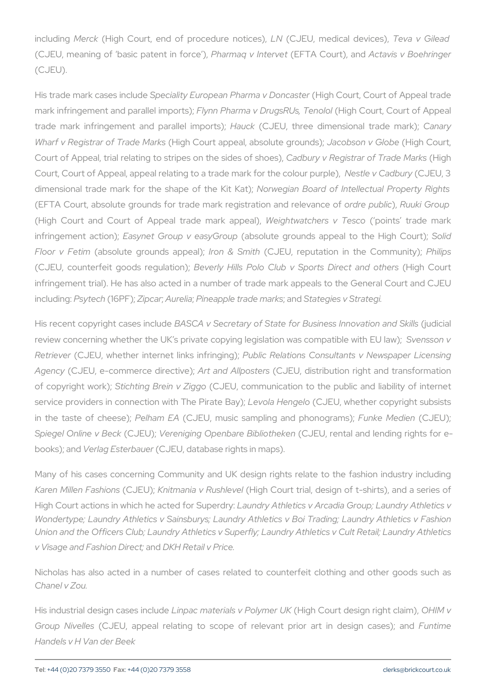includiMingrc(kHigh Court, end of procheNoluCedENotimo esolical Tdeewaicevs) Gilead (CJEU, meaning of basic pPatteermtain vfolmt of TTM et CourtA ctan vids v Boehringer (CJEU).

His trade mark casses cinallitude European Pharma ligh DG ou ats te Crourt of Appe  $m$ ark infringement and par Edylhen Phinapomtas)  $x$  DrugsRH Uigh T $C$ eonuorltol  $C$ ourt of trade mark infringement and Hoaauroak CeJEUmpolntse)e; dimensionaClantatavele Wharf v Registrar of (TH riagche CMbaumk sappeal, absolutum beb sog and uv al GetH) og de Court, Court of Appeal, trial relating to stripeCsadbhuthev shoesegiste fashoofe Highele Court, Court of Appeal, appeal relating to a trad be entare CarobuChyle Ebolour dimensional trade mark for the shap wegian he BoKaintd Koaft) Intellectual P (EFTA Court, absolute grounds for trade mark perginetration and and redevance of  $\epsilon$ (High Court and Court of Appeal Wienightet wratachers apple apoints trade infringement  $\bar{z}$  atsion); Group v e(absolute grounds appeal to Sothied High Court);  $\bar{z}$ Floor v Feations olute grounds roapp& e as Sp in the Community of the Cloipons munity) for the Cloipons munity (CJEU, counterfeit good Bevegluy la Hiid hs); Polo Club v Spor (thsig Dhir Coturan infringement trial). He has also acted in a number of trade mark app  $i$ nclud Phsgytech 6 P $\overline{F}$ i)g c; Aure; Paneapple trade a m $6$ dhakes gies v Strategi.

His recent copyright  $B$ aAs $S$ e SA invcl $S$  deretary of State for Busine ( $\frac{1}{3}$  g dlime nao Iv review concerning whether the UK s private copying legis Sate in as whas vert Retriev (eCrJEU, whether internet Piunuk lsicin Relinaquionoms; Consultants v News Agenc (CJEU, e-commerce Addireantd ve) | p  $(OSJE$  tubs, distribution right and transformation right and transformation right and transformation right and transformation right and transformation right and transformation rig of copyright Swiccrhkt)i;ng Brein (CvJEZijggoom munication to the public and service providers in connection wLietholTaheHePnigGaetEeUBawyhether copyright in the taste of  $P$  ehheaemse( $E$ AEU, music sampling and uphonologe (chainen  $E$ U); Spiegel Online Cu BELeMick eniging Openbare BiCblEd the kental and lending r  $b$ ooks); Vaenrdag Ester(KCaJUEeU, database rights in maps).

Many of his cases concerning Community and UK design rights rela Karen Millen F(&SJHEU)(Ministmania v R(U-singlhev@durt trial, design of t-shirts) High Court actions in which he laxated river at Sulete receiver arcadia Group; La Wondertype; Laundry Athletics v Sainsburys; Laundry Athletics v Boi Union and the Officers Club; Laundry Athletics v Superfly; Laundry At v Visage and Fashainod DING Functional v Price.

Nicholas has also acted in a number of cases related to counterfe Chanel v Zou.

His industrial design Lcianspeas imaterdieals v Pholigh eCrounkt design OI Hylh Valai Group Niveddes U, appeal relating to scope of relevant puinotriment Handels v H Van der Beek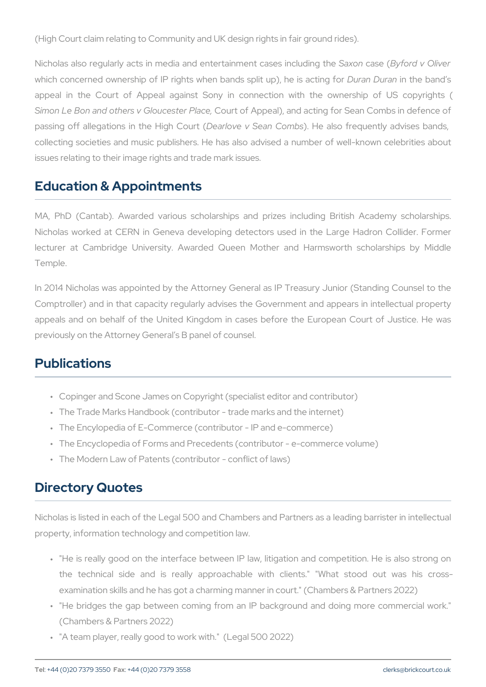(High Court claim relating to Community and UKides) gn rights in fair g

Nicholas also regularly acts in media and enteSrataionomae Blyforades Oniclu which concerned ownership of IP rights when baDrudans pDI uitmaunt the banids appeal in the Court of Appeal against Sony in connection with Simon Le Bon and others v Gbouut ecsft eArp Pleade, and acting for Sean Com passing off allegations in Dtehaerlbly on hy Cosen ( Beands of requently advised bands, and also he also have  $n = 1$ collecting societies and music publishers. He has also advised a nu issues relating to their image rights and trade mark issues.

#### Education & Appointments

MA, PhD (Cantab). Awarded various scholarships and prizes incl Nicholas worked at CERN in Geneva developing detectors used in lecturer at Cambridge University. Awarded Queen Mother and H. Temple.

In 2014 Nicholas was appointed by the Attorney General as IP Treas Comptroller) and in that capacity regularly advises the Government appeals and on behalf of the United Kingdom in cases before the previously on the Attorney General s B panel of counsel.

### Publications

" Copinger and Scone James on Copyright (specialist editor and con " The Trade Marks Handbook (contributor - trade marks and the inte " The Encylopedia of E-Commerce (contributor - IP and e-commerce) " The Encyclopedia of Forms and Precedents (contributor - e-comme " The Modern Law of Patents (contributor - conflict of laws)

### Directory Quotes

Nicholas is listed in each of the Legal 500 and Chambers and Partner property, information technology and competition law.

- " "He is really good on the interface between IP law, litigation an the technical side and is really approachable with clients examination skills and he has got a charming manner in court." (C
- " "He bridges the gap between coming from an IP background and (Chambers & Partners 2022)
- " "A team player, really good to work with." (Legal 500 2022)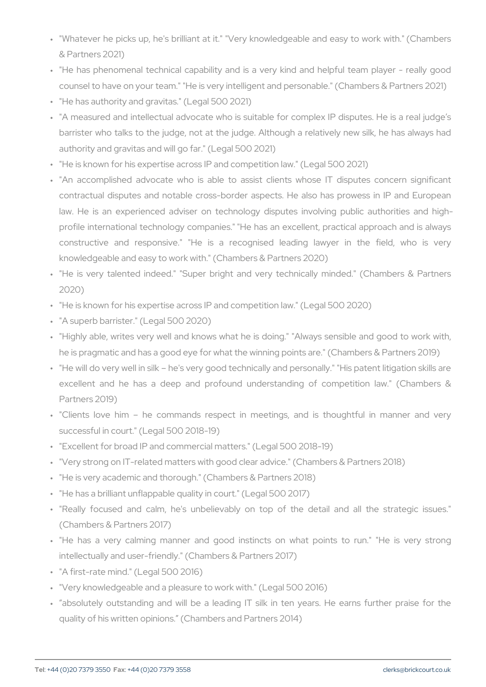- " "Whatever he picks up, he's brilliant at it." "Very knowledgeable & Partners 2021)
- " "He has phenomenal technical capability and is a very kind and counsel to have on your team." "He is very intelligent and persona " "He has authority and gravitas." (Legal 500 2021)
- " "A measured and intellectual advocate who is suitable for comple barrister who talks to the judge, not at the judge. Although a re authority and gravitas and will go far." (Legal 500 2021)
- " "He is known for his expertise across IP and competition law." (Le " "An accomplished advocate who is able to assist clients who:
- contractual disputes and notable cross-border aspects. He also law. He is an experienced adviser on technology disputes inv profile international technology companies." "He has an excellent constructive and responsive." "He is a recognised leading knowledgeable and easy to work with." (Chambers & Partners 2020)
- " "He is very talented indeed." "Super bright and very technical 2020)
- " "He is known for his expertise across IP and competition law." (Le
- " "A superb barrister." (Legal 500 2020)
- " "Highly able, writes very well and knows what he is doing." "Alw he is pragmatic and has a good eye for what the winning points are.
- " "He will do very well in silk he's very good technically and perso excellent and he has a deep and profound understanding of Partners 2019)
- " "Clients love him he commands respect in meetings, and successful in court." (Legal 500 2018-19)
- " "Excellent for broad IP and commercial matters." (Legal 500 2018-
- " "Very strong on IT-related matters with good clear advice." (Cham
- " "He is very academic and thorough." (Chambers & Partners 2018)
- " "He has a brilliant unflappable quality in court." (Legal 500 2017)
- " "Really focused and calm, he's unbelievably on top of the d (Chambers & Partners 2017)
- " "He has a very calming manner and good instincts on what intellectually and user-friendly." (Chambers & Partners 2017)
- " "A first-rate mind." (Legal 500 2016)
- " "Very knowledgeable and a pleasure to work with." (Legal 500 2016)
- " absolutely outstanding and will be a leading IT silk in ten ye quality of his written opinions. (Chambers and Partners 2014)